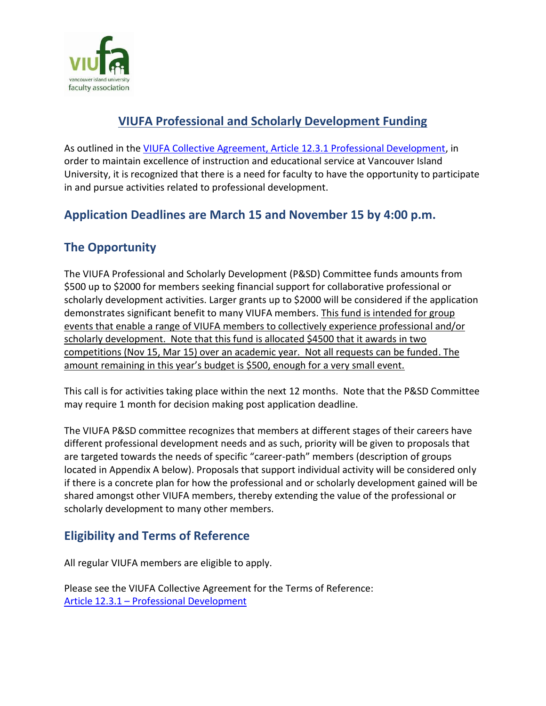

## **VIUFA Professional and Scholarly Development Funding**

As outlined in the [VIUFA Collective Agreement, Article 12.3.1 Professional Development,](https://www2.viu.ca/HumanResources/VIUFA/VIU-VIUFA-Collective-Agreement.pdf) in order to maintain excellence of instruction and educational service at Vancouver Island University, it is recognized that there is a need for faculty to have the opportunity to participate in and pursue activities related to professional development.

### **Application Deadlines are March 15 and November 15 by 4:00 p.m.**

# **The Opportunity**

The VIUFA Professional and Scholarly Development (P&SD) Committee funds amounts from \$500 up to \$2000 for members seeking financial support for collaborative professional or scholarly development activities. Larger grants up to \$2000 will be considered if the application demonstrates significant benefit to many VIUFA members. This fund is intended for group events that enable a range of VIUFA members to collectively experience professional and/or scholarly development. Note that this fund is allocated \$4500 that it awards in two competitions (Nov 15, Mar 15) over an academic year. Not all requests can be funded. The amount remaining in this year's budget is \$500, enough for a very small event.

This call is for activities taking place within the next 12 months. Note that the P&SD Committee may require 1 month for decision making post application deadline.

The VIUFA P&SD committee recognizes that members at different stages of their careers have different professional development needs and as such, priority will be given to proposals that are targeted towards the needs of specific "career-path" members (description of groups located in Appendix A below). Proposals that support individual activity will be considered only if there is a concrete plan for how the professional and or scholarly development gained will be shared amongst other VIUFA members, thereby extending the value of the professional or scholarly development to many other members.

### **Eligibility and Terms of Reference**

All regular VIUFA members are eligible to apply.

Please see the VIUFA Collective Agreement for the Terms of Reference: Article 12.3.1 – [Professional Development](https://www2.viu.ca/HumanResources/VIUFA/VIU-VIUFA-Collective-Agreement.pdf)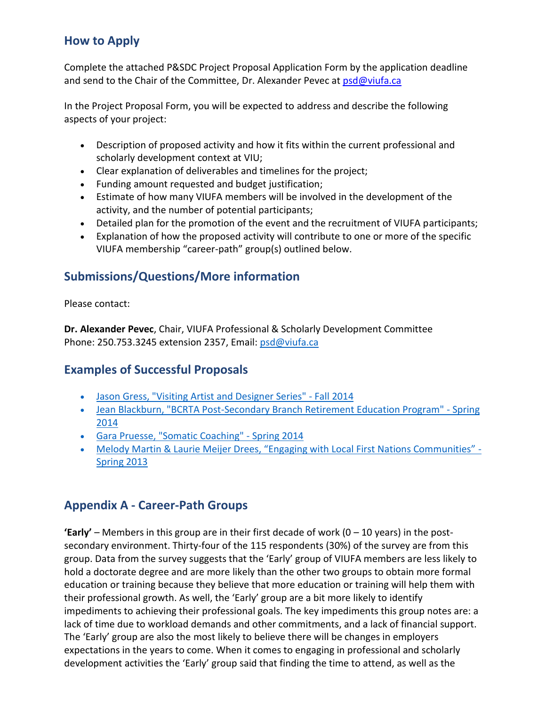## **How to Apply**

Complete the attached P&SDC Project Proposal Application Form by the application deadline and send to the Chair of the Committee, Dr. Alexander Pevec at  $psd@v iufa.ca$ 

In the Project Proposal Form, you will be expected to address and describe the following aspects of your project:

- Description of proposed activity and how it fits within the current professional and scholarly development context at VIU;
- Clear explanation of deliverables and timelines for the project;
- Funding amount requested and budget justification;
- Estimate of how many VIUFA members will be involved in the development of the activity, and the number of potential participants;
- Detailed plan for the promotion of the event and the recruitment of VIUFA participants;
- Explanation of how the proposed activity will contribute to one or more of the specific VIUFA membership "career-path" group(s) outlined below.

#### **Submissions/Questions/More information**

Please contact:

**Dr. Alexander Pevec**, Chair, VIUFA Professional & Scholarly Development Committee Phone: 250.753.3245 extension 2357, Email: [psd@viufa.ca](mailto:psd@viufa.ca)

#### **Examples of Successful Proposals**

- [Jason Gress, "Visiting Artist and Designer Series" -](https://isapp.viu.ca/VIUWEB/commViewer/docshow.asp?doc_id=31467) Fall 2014
- [Jean Blackburn, "BCRTA Post-Secondary Branch Retirement Education Program" -](https://isapp.viu.ca/VIUWEB/commViewer/docshow.asp?doc_id=31469) Spring [2014](https://isapp.viu.ca/VIUWEB/commViewer/docshow.asp?doc_id=31469)
- [Gara Pruesse, "Somatic Coaching" -](https://isapp.viu.ca/VIUWEB/commViewer/docshow.asp?doc_id=31470) Spring 2014
- [Melody Martin & Laurie Meijer Drees, "Engaging with Local First Nations Communities"](https://isapp.viu.ca/VIUWEB/commViewer/docshow.asp?doc_id=31471)  [Spring 2013](https://isapp.viu.ca/VIUWEB/commViewer/docshow.asp?doc_id=31471)

#### **Appendix A - Career-Path Groups**

**'Early'** – Members in this group are in their first decade of work (0 – 10 years) in the postsecondary environment. Thirty-four of the 115 respondents (30%) of the survey are from this group. Data from the survey suggests that the 'Early' group of VIUFA members are less likely to hold a doctorate degree and are more likely than the other two groups to obtain more formal education or training because they believe that more education or training will help them with their professional growth. As well, the 'Early' group are a bit more likely to identify impediments to achieving their professional goals. The key impediments this group notes are: a lack of time due to workload demands and other commitments, and a lack of financial support. The 'Early' group are also the most likely to believe there will be changes in employers expectations in the years to come. When it comes to engaging in professional and scholarly development activities the 'Early' group said that finding the time to attend, as well as the